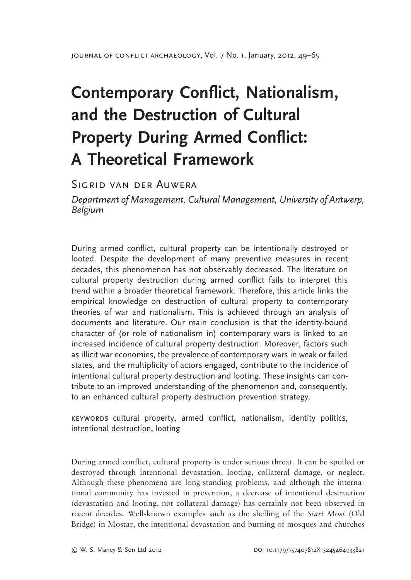# **Contemporary Conflict, Nationalism, and the Destruction of Cultural Property During Armed Conflict: A Theoretical Framework**

# Sigrid van der Auwera

*Department of Management, Cultural Management, University of Antwerp, Belgium*

During armed conflict, cultural property can be intentionally destroyed or looted. Despite the development of many preventive measures in recent decades, this phenomenon has not observably decreased. The literature on cultural property destruction during armed conflict fails to interpret this trend within a broader theoretical framework. Therefore, this article links the empirical knowledge on destruction of cultural property to contemporary theories of war and nationalism. This is achieved through an analysis of documents and literature. Our main conclusion is that the identity-bound character of (or role of nationalism in) contemporary wars is linked to an increased incidence of cultural property destruction. Moreover, factors such as illicit war economies, the prevalence of contemporary wars in weak or failed states, and the multiplicity of actors engaged, contribute to the incidence of intentional cultural property destruction and looting. These insights can contribute to an improved understanding of the phenomenon and, consequently, to an enhanced cultural property destruction prevention strategy.

keywords cultural property, armed conflict, nationalism, identity politics, intentional destruction, looting

During armed conflict, cultural property is under serious threat. It can be spoiled or destroyed through intentional devastation, looting, collateral damage, or neglect. Although these phenomena are long-standing problems, and although the international community has invested in prevention, a decrease of intentional destruction (devastation and looting, not collateral damage) has certainly not been observed in recent decades. Well-known examples such as the shelling of the *Stari Most* (Old Bridge) in Mostar, the intentional devastation and burning of mosques and churches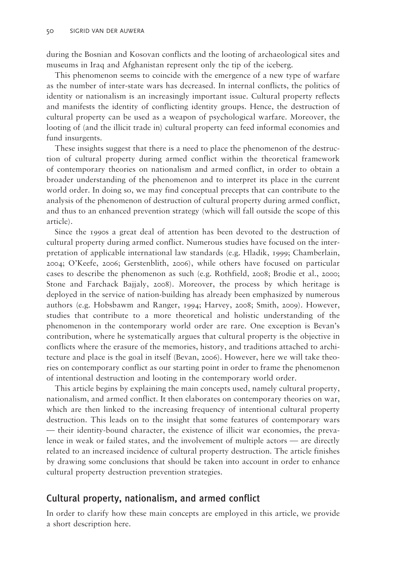during the Bosnian and Kosovan conflicts and the looting of archaeological sites and museums in Iraq and Afghanistan represent only the tip of the iceberg.

This phenomenon seems to coincide with the emergence of a new type of warfare as the number of inter-state wars has decreased. In internal conflicts, the politics of identity or nationalism is an increasingly important issue. Cultural property reflects and manifests the identity of conflicting identity groups. Hence, the destruction of cultural property can be used as a weapon of psychological warfare. Moreover, the looting of (and the illicit trade in) cultural property can feed informal economies and fund insurgents.

These insights suggest that there is a need to place the phenomenon of the destruction of cultural property during armed conflict within the theoretical framework of contemporary theories on nationalism and armed conflict, in order to obtain a broader understanding of the phenomenon and to interpret its place in the current world order. In doing so, we may find conceptual precepts that can contribute to the analysis of the phenomenon of destruction of cultural property during armed conflict, and thus to an enhanced prevention strategy (which will fall outside the scope of this article).

Since the 1990s a great deal of attention has been devoted to the destruction of cultural property during armed conflict. Numerous studies have focused on the interpretation of applicable international law standards (e.g. Hladik, 1999; Chamberlain, 2004; O'Keefe, 2006; Gerstenblith, 2006), while others have focused on particular cases to describe the phenomenon as such (e.g. Rothfield, 2008; Brodie et al., 2000; Stone and Farchack Bajjaly, 2008). Moreover, the process by which heritage is deployed in the service of nation-building has already been emphasized by numerous authors (e.g. Hobsbawm and Ranger, 1994; Harvey, 2008; Smith, 2009). However, studies that contribute to a more theoretical and holistic understanding of the phenomenon in the contemporary world order are rare. One exception is Bevan's contribution, where he systematically argues that cultural property is the objective in conflicts where the erasure of the memories, history, and traditions attached to architecture and place is the goal in itself (Bevan, 2006). However, here we will take theories on contemporary conflict as our starting point in order to frame the phenomenon of intentional destruction and looting in the contemporary world order.

This article begins by explaining the main concepts used, namely cultural property, nationalism, and armed conflict. It then elaborates on contemporary theories on war, which are then linked to the increasing frequency of intentional cultural property destruction. This leads on to the insight that some features of contemporary wars — their identity-bound character, the existence of illicit war economies, the prevalence in weak or failed states, and the involvement of multiple actors — are directly related to an increased incidence of cultural property destruction. The article finishes by drawing some conclusions that should be taken into account in order to enhance cultural property destruction prevention strategies.

## Cultural property, nationalism, and armed conflict

In order to clarify how these main concepts are employed in this article, we provide a short description here.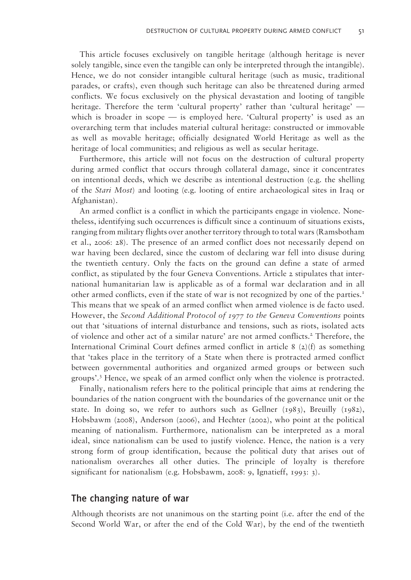This article focuses exclusively on tangible heritage (although heritage is never solely tangible, since even the tangible can only be interpreted through the intangible). Hence, we do not consider intangible cultural heritage (such as music, traditional parades, or crafts), even though such heritage can also be threatened during armed conflicts. We focus exclusively on the physical devastation and looting of tangible heritage. Therefore the term 'cultural property' rather than 'cultural heritage' which is broader in scope — is employed here. 'Cultural property' is used as an overarching term that includes material cultural heritage: constructed or immovable as well as movable heritage; officially designated World Heritage as well as the heritage of local communities; and religious as well as secular heritage.

Furthermore, this article will not focus on the destruction of cultural property during armed conflict that occurs through collateral damage, since it concentrates on intentional deeds, which we describe as intentional destruction (e.g. the shelling of the *Stari Most*) and looting (e.g. looting of entire archaeological sites in Iraq or Afghanistan).

An armed conflict is a conflict in which the participants engage in violence. Nonetheless, identifying such occurrences is difficult since a continuum of situations exists, ranging from military flights over another territory through to total wars (Ramsbotham et al., 2006: 28). The presence of an armed conflict does not necessarily depend on war having been declared, since the custom of declaring war fell into disuse during the twentieth century. Only the facts on the ground can define a state of armed conflict, as stipulated by the four Geneva Conventions. Article 2 stipulates that international humanitarian law is applicable as of a formal war declaration and in all other armed conflicts, even if the state of war is not recognized by one of the parties.<sup>1</sup> This means that we speak of an armed conflict when armed violence is de facto used. However, the *Second Additional Protocol of 1977 to the Geneva Conventions* points out that 'situations of internal disturbance and tensions, such as riots, isolated acts of violence and other act of a similar nature' are not armed conflicts.<sup>2</sup> Therefore, the International Criminal Court defines armed conflict in article 8  $(2)(f)$  as something that 'takes place in the territory of a State when there is protracted armed conflict between governmental authorities and organized armed groups or between such groups'.<sup>3</sup> Hence, we speak of an armed conflict only when the violence is protracted.

Finally, nationalism refers here to the political principle that aims at rendering the boundaries of the nation congruent with the boundaries of the governance unit or the state. In doing so, we refer to authors such as Gellner  $(1983)$ , Breuilly  $(1982)$ , Hobsbawm (2008), Anderson (2006), and Hechter (2002), who point at the political meaning of nationalism. Furthermore, nationalism can be interpreted as a moral ideal, since nationalism can be used to justify violence. Hence, the nation is a very strong form of group identification, because the political duty that arises out of nationalism overarches all other duties. The principle of loyalty is therefore significant for nationalism (e.g. Hobsbawm, 2008: 9, Ignatieff, 1993: 3).

#### The changing nature of war

Although theorists are not unanimous on the starting point (i.e. after the end of the Second World War, or after the end of the Cold War), by the end of the twentieth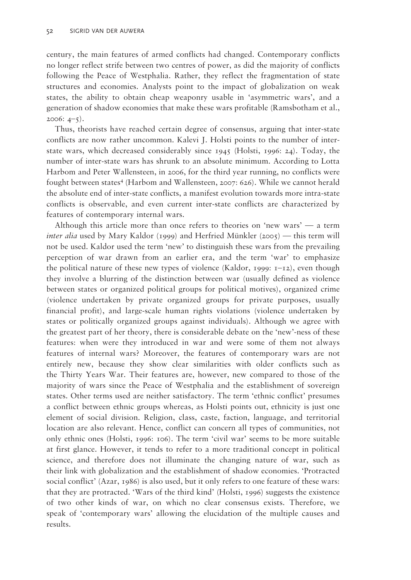century, the main features of armed conflicts had changed. Contemporary conflicts no longer reflect strife between two centres of power, as did the majority of conflicts following the Peace of Westphalia. Rather, they reflect the fragmentation of state structures and economies. Analysts point to the impact of globalization on weak states, the ability to obtain cheap weaponry usable in 'asymmetric wars', and a generation of shadow economies that make these wars profitable (Ramsbotham et al.,  $2006: 4-5$ ).

Thus, theorists have reached certain degree of consensus, arguing that inter-state conflicts are now rather uncommon. Kalevi J. Holsti points to the number of interstate wars, which decreased considerably since 1945 (Holsti, 1996: 24). Today, the number of inter-state wars has shrunk to an absolute minimum. According to Lotta Harbom and Peter Wallensteen, in 2006, for the third year running, no conflicts were fought between states<sup>4</sup> (Harbom and Wallensteen, 2007: 626). While we cannot herald the absolute end of inter-state conflicts, a manifest evolution towards more intra-state conflicts is observable, and even current inter-state conflicts are characterized by features of contemporary internal wars.

Although this article more than once refers to theories on 'new wars' — a term *inter alia* used by Mary Kaldor (1999) and Herfried Münkler (2005) — this term will not be used. Kaldor used the term 'new' to distinguish these wars from the prevailing perception of war drawn from an earlier era, and the term 'war' to emphasize the political nature of these new types of violence (Kaldor, 1999: 1–12), even though they involve a blurring of the distinction between war (usually defined as violence between states or organized political groups for political motives), organized crime (violence undertaken by private organized groups for private purposes, usually financial profit), and large-scale human rights violations (violence undertaken by states or politically organized groups against individuals). Although we agree with the greatest part of her theory, there is considerable debate on the 'new'-ness of these features: when were they introduced in war and were some of them not always features of internal wars? Moreover, the features of contemporary wars are not entirely new, because they show clear similarities with older conflicts such as the Thirty Years War. Their features are, however, new compared to those of the majority of wars since the Peace of Westphalia and the establishment of sovereign states. Other terms used are neither satisfactory. The term 'ethnic conflict' presumes a conflict between ethnic groups whereas, as Holsti points out, ethnicity is just one element of social division. Religion, class, caste, faction, language, and territorial location are also relevant. Hence, conflict can concern all types of communities, not only ethnic ones (Holsti, 1996: 106). The term 'civil war' seems to be more suitable at first glance. However, it tends to refer to a more traditional concept in political science, and therefore does not illuminate the changing nature of war, such as their link with globalization and the establishment of shadow economies. 'Protracted social conflict' (Azar, 1986) is also used, but it only refers to one feature of these wars: that they are protracted. 'Wars of the third kind' (Holsti, 1996) suggests the existence of two other kinds of war, on which no clear consensus exists. Therefore, we speak of 'contemporary wars' allowing the elucidation of the multiple causes and results.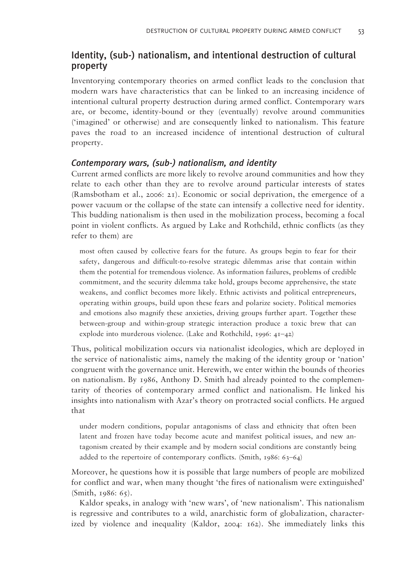# Identity, (sub-) nationalism, and intentional destruction of cultural property

Inventorying contemporary theories on armed conflict leads to the conclusion that modern wars have characteristics that can be linked to an increasing incidence of intentional cultural property destruction during armed conflict. Contemporary wars are, or become, identity-bound or they (eventually) revolve around communities ('imagined' or otherwise) and are consequently linked to nationalism. This feature paves the road to an increased incidence of intentional destruction of cultural property.

#### *Contemporary wars, (sub-) nationalism, and identity*

Current armed conflicts are more likely to revolve around communities and how they relate to each other than they are to revolve around particular interests of states (Ramsbotham et al., 2006: 21). Economic or social deprivation, the emergence of a power vacuum or the collapse of the state can intensify a collective need for identity. This budding nationalism is then used in the mobilization process, becoming a focal point in violent conflicts. As argued by Lake and Rothchild, ethnic conflicts (as they refer to them) are

most often caused by collective fears for the future. As groups begin to fear for their safety, dangerous and difficult-to-resolve strategic dilemmas arise that contain within them the potential for tremendous violence. As information failures, problems of credible commitment, and the security dilemma take hold, groups become apprehensive, the state weakens, and conflict becomes more likely. Ethnic activists and political entrepreneurs, operating within groups, build upon these fears and polarize society. Political memories and emotions also magnify these anxieties, driving groups further apart. Together these between-group and within-group strategic interaction produce a toxic brew that can explode into murderous violence. (Lake and Rothchild, 1996: 41–42)

Thus, political mobilization occurs via nationalist ideologies, which are deployed in the service of nationalistic aims, namely the making of the identity group or 'nation' congruent with the governance unit. Herewith, we enter within the bounds of theories on nationalism. By 1986, Anthony D. Smith had already pointed to the complementarity of theories of contemporary armed conflict and nationalism. He linked his insights into nationalism with Azar's theory on protracted social conflicts. He argued that

under modern conditions, popular antagonisms of class and ethnicity that often been latent and frozen have today become acute and manifest political issues, and new antagonism created by their example and by modern social conditions are constantly being added to the repertoire of contemporary conflicts. (Smith, 1986: 63–64)

Moreover, he questions how it is possible that large numbers of people are mobilized for conflict and war, when many thought 'the fires of nationalism were extinguished' (Smith, 1986: 65).

Kaldor speaks, in analogy with 'new wars', of 'new nationalism'. This nationalism is regressive and contributes to a wild, anarchistic form of globalization, characterized by violence and inequality (Kaldor, 2004: 162). She immediately links this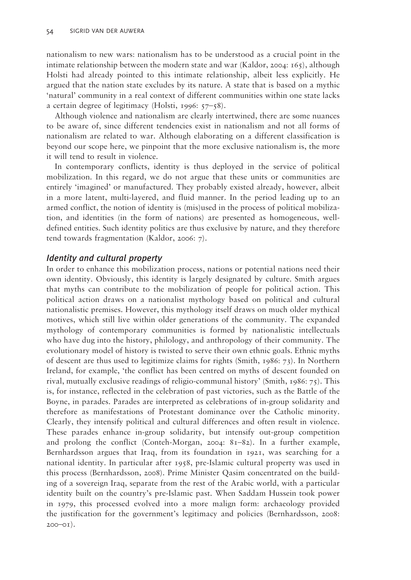nationalism to new wars: nationalism has to be understood as a crucial point in the intimate relationship between the modern state and war (Kaldor, 2004:  $165$ ), although Holsti had already pointed to this intimate relationship, albeit less explicitly. He argued that the nation state excludes by its nature. A state that is based on a mythic 'natural' community in a real context of different communities within one state lacks a certain degree of legitimacy (Holsti, 1996: 57–58).

Although violence and nationalism are clearly intertwined, there are some nuances to be aware of, since different tendencies exist in nationalism and not all forms of nationalism are related to war. Although elaborating on a different classification is beyond our scope here, we pinpoint that the more exclusive nationalism is, the more it will tend to result in violence.

In contemporary conflicts, identity is thus deployed in the service of political mobilization. In this regard, we do not argue that these units or communities are entirely 'imagined' or manufactured. They probably existed already, however, albeit in a more latent, multi-layered, and fluid manner. In the period leading up to an armed conflict, the notion of identity is (mis)used in the process of political mobilization, and identities (in the form of nations) are presented as homogeneous, welldefined entities. Such identity politics are thus exclusive by nature, and they therefore tend towards fragmentation (Kaldor, 2006: 7).

#### *Identity and cultural property*

In order to enhance this mobilization process, nations or potential nations need their own identity. Obviously, this identity is largely designated by culture. Smith argues that myths can contribute to the mobilization of people for political action. This political action draws on a nationalist mythology based on political and cultural nationalistic premises. However, this mythology itself draws on much older mythical motives, which still live within older generations of the community. The expanded mythology of contemporary communities is formed by nationalistic intellectuals who have dug into the history, philology, and anthropology of their community. The evolutionary model of history is twisted to serve their own ethnic goals. Ethnic myths of descent are thus used to legitimize claims for rights (Smith, 1986: 73). In Northern Ireland, for example, 'the conflict has been centred on myths of descent founded on rival, mutually exclusive readings of religio-communal history' (Smith, 1986: 75). This is, for instance, reflected in the celebration of past victories, such as the Battle of the Boyne, in parades. Parades are interpreted as celebrations of in-group solidarity and therefore as manifestations of Protestant dominance over the Catholic minority. Clearly, they intensify political and cultural differences and often result in violence. These parades enhance in-group solidarity, but intensify out-group competition and prolong the conflict (Conteh-Morgan, 2004:  $81-82$ ). In a further example, Bernhardsson argues that Iraq, from its foundation in 1921, was searching for a national identity. In particular after 1958, pre-Islamic cultural property was used in this process (Bernhardsson, 2008). Prime Minister Qasim concentrated on the building of a sovereign Iraq, separate from the rest of the Arabic world, with a particular identity built on the country's pre-Islamic past. When Saddam Hussein took power in 1979, this processed evolved into a more malign form: archaeology provided the justification for the government's legitimacy and policies (Bernhardsson, 2008: 200–01).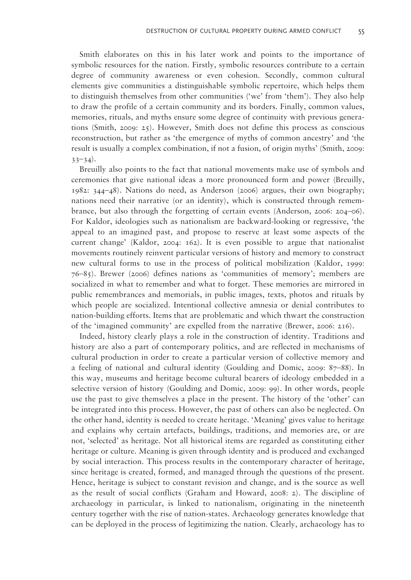Smith elaborates on this in his later work and points to the importance of symbolic resources for the nation. Firstly, symbolic resources contribute to a certain degree of community awareness or even cohesion. Secondly, common cultural elements give communities a distinguishable symbolic repertoire, which helps them to distinguish themselves from other communities ('we' from 'them'). They also help to draw the profile of a certain community and its borders. Finally, common values, memories, rituals, and myths ensure some degree of continuity with previous generations (Smith, 2009: 25). However, Smith does not define this process as conscious reconstruction, but rather as 'the emergence of myths of common ancestry' and 'the result is usually a complex combination, if not a fusion, of origin myths' (Smith, 2009:  $33-34$ .

Breuilly also points to the fact that national movements make use of symbols and ceremonies that give national ideas a more pronounced form and power (Breuilly, 1982: 344–48). Nations do need, as Anderson (2006) argues, their own biography; nations need their narrative (or an identity), which is constructed through remembrance, but also through the forgetting of certain events (Anderson, 2006: 204–06). For Kaldor, ideologies such as nationalism are backward-looking or regressive, 'the appeal to an imagined past, and propose to reserve at least some aspects of the current change' (Kaldor, 2004: 162). It is even possible to argue that nationalist movements routinely reinvent particular versions of history and memory to construct new cultural forms to use in the process of political mobilization (Kaldor, 1999: 76–85). Brewer (2006) defines nations as 'communities of memory'; members are socialized in what to remember and what to forget. These memories are mirrored in public remembrances and memorials, in public images, texts, photos and rituals by which people are socialized. Intentional collective amnesia or denial contributes to nation-building efforts. Items that are problematic and which thwart the construction of the 'imagined community' are expelled from the narrative (Brewer, 2006: 216).

Indeed, history clearly plays a role in the construction of identity. Traditions and history are also a part of contemporary politics, and are reflected in mechanisms of cultural production in order to create a particular version of collective memory and a feeling of national and cultural identity (Goulding and Domic, 2009: 87–88). In this way, museums and heritage become cultural bearers of ideology embedded in a selective version of history (Goulding and Domic, 2009: 99). In other words, people use the past to give themselves a place in the present. The history of the 'other' can be integrated into this process. However, the past of others can also be neglected. On the other hand, identity is needed to create heritage. 'Meaning' gives value to heritage and explains why certain artefacts, buildings, traditions, and memories are, or are not, 'selected' as heritage. Not all historical items are regarded as constituting either heritage or culture. Meaning is given through identity and is produced and exchanged by social interaction. This process results in the contemporary character of heritage, since heritage is created, formed, and managed through the questions of the present. Hence, heritage is subject to constant revision and change, and is the source as well as the result of social conflicts (Graham and Howard, 2008: 2). The discipline of archaeology in particular, is linked to nationalism, originating in the nineteenth century together with the rise of nation-states. Archaeology generates knowledge that can be deployed in the process of legitimizing the nation. Clearly, archaeology has to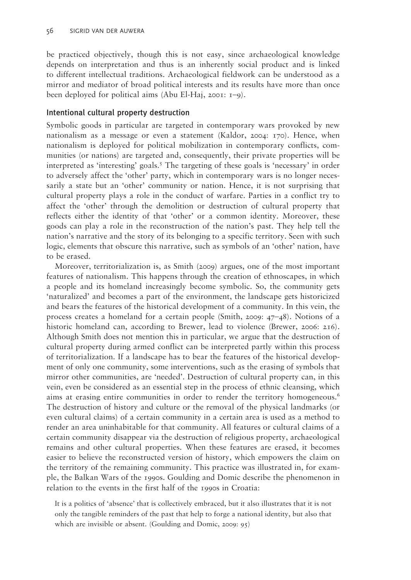be practiced objectively, though this is not easy, since archaeological knowledge depends on interpretation and thus is an inherently social product and is linked to different intellectual traditions. Archaeological fieldwork can be understood as a mirror and mediator of broad political interests and its results have more than once been deployed for political aims (Abu El-Haj, 2001: 1–9).

#### Intentional cultural property destruction

Symbolic goods in particular are targeted in contemporary wars provoked by new nationalism as a message or even a statement (Kaldor, 2004: 170). Hence, when nationalism is deployed for political mobilization in contemporary conflicts, communities (or nations) are targeted and, consequently, their private properties will be interpreted as 'interesting' goals.5 The targeting of these goals is 'necessary' in order to adversely affect the 'other' party, which in contemporary wars is no longer necessarily a state but an 'other' community or nation. Hence, it is not surprising that cultural property plays a role in the conduct of warfare. Parties in a conflict try to affect the 'other' through the demolition or destruction of cultural property that reflects either the identity of that 'other' or a common identity. Moreover, these goods can play a role in the reconstruction of the nation's past. They help tell the nation's narrative and the story of its belonging to a specific territory. Seen with such logic, elements that obscure this narrative, such as symbols of an 'other' nation, have to be erased.

Moreover, territorialization is, as Smith (2009) argues, one of the most important features of nationalism. This happens through the creation of ethnoscapes, in which a people and its homeland increasingly become symbolic. So, the community gets 'naturalized' and becomes a part of the environment, the landscape gets historicized and bears the features of the historical development of a community. In this vein, the process creates a homeland for a certain people (Smith, 2009: 47–48). Notions of a historic homeland can, according to Brewer, lead to violence (Brewer, 2006: 216). Although Smith does not mention this in particular, we argue that the destruction of cultural property during armed conflict can be interpreted partly within this process of territorialization. If a landscape has to bear the features of the historical development of only one community, some interventions, such as the erasing of symbols that mirror other communities, are 'needed'. Destruction of cultural property can, in this vein, even be considered as an essential step in the process of ethnic cleansing, which aims at erasing entire communities in order to render the territory homogeneous.<sup>6</sup> The destruction of history and culture or the removal of the physical landmarks (or even cultural claims) of a certain community in a certain area is used as a method to render an area uninhabitable for that community. All features or cultural claims of a certain community disappear via the destruction of religious property, archaeological remains and other cultural properties. When these features are erased, it becomes easier to believe the reconstructed version of history, which empowers the claim on the territory of the remaining community. This practice was illustrated in, for example, the Balkan Wars of the 1990s. Goulding and Domic describe the phenomenon in relation to the events in the first half of the 1990s in Croatia:

It is a politics of 'absence' that is collectively embraced, but it also illustrates that it is not only the tangible reminders of the past that help to forge a national identity, but also that which are invisible or absent. (Goulding and Domic, 2009: 95)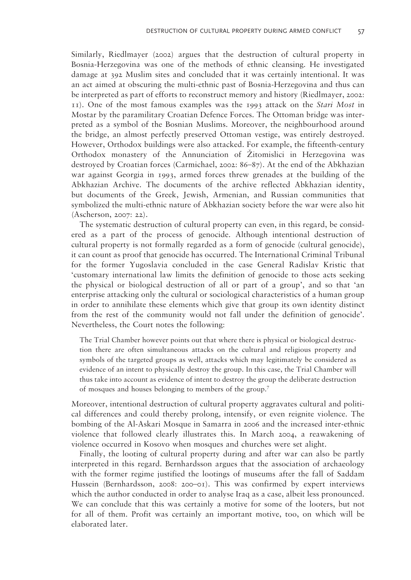Similarly, Riedlmayer (2002) argues that the destruction of cultural property in Bosnia-Herzegovina was one of the methods of ethnic cleansing. He investigated damage at 392 Muslim sites and concluded that it was certainly intentional. It was an act aimed at obscuring the multi-ethnic past of Bosnia-Herzegovina and thus can be interpreted as part of efforts to reconstruct memory and history (Riedlmayer, 2002: 11). One of the most famous examples was the 1993 attack on the *Stari Most* in Mostar by the paramilitary Croatian Defence Forces. The Ottoman bridge was interpreted as a symbol of the Bosnian Muslims. Moreover, the neighbourhood around the bridge, an almost perfectly preserved Ottoman vestige, was entirely destroyed. However, Orthodox buildings were also attacked. For example, the fifteenth-century Orthodox monastery of the Annunciation of Žitomislici in Herzegovina was destroyed by Croatian forces (Carmichael, 2002: 86–87). At the end of the Abkhazian war against Georgia in 1993, armed forces threw grenades at the building of the Abkhazian Archive. The documents of the archive reflected Abkhazian identity, but documents of the Greek, Jewish, Armenian, and Russian communities that symbolized the multi-ethnic nature of Abkhazian society before the war were also hit (Ascherson, 2007: 22).

The systematic destruction of cultural property can even, in this regard, be considered as a part of the process of genocide. Although intentional destruction of cultural property is not formally regarded as a form of genocide (cultural genocide), it can count as proof that genocide has occurred. The International Criminal Tribunal for the former Yugoslavia concluded in the case General Radislav Kristic that 'customary international law limits the definition of genocide to those acts seeking the physical or biological destruction of all or part of a group', and so that 'an enterprise attacking only the cultural or sociological characteristics of a human group in order to annihilate these elements which give that group its own identity distinct from the rest of the community would not fall under the definition of genocide'. Nevertheless, the Court notes the following:

The Trial Chamber however points out that where there is physical or biological destruction there are often simultaneous attacks on the cultural and religious property and symbols of the targeted groups as well, attacks which may legitimately be considered as evidence of an intent to physically destroy the group. In this case, the Trial Chamber will thus take into account as evidence of intent to destroy the group the deliberate destruction of mosques and houses belonging to members of the group.7

Moreover, intentional destruction of cultural property aggravates cultural and political differences and could thereby prolong, intensify, or even reignite violence. The bombing of the Al-Askari Mosque in Samarra in 2006 and the increased inter-ethnic violence that followed clearly illustrates this. In March 2004, a reawakening of violence occurred in Kosovo when mosques and churches were set alight.

Finally, the looting of cultural property during and after war can also be partly interpreted in this regard. Bernhardsson argues that the association of archaeology with the former regime justified the lootings of museums after the fall of Saddam Hussein (Bernhardsson, 2008: 200-01). This was confirmed by expert interviews which the author conducted in order to analyse Iraq as a case, albeit less pronounced. We can conclude that this was certainly a motive for some of the looters, but not for all of them. Profit was certainly an important motive, too, on which will be elaborated later.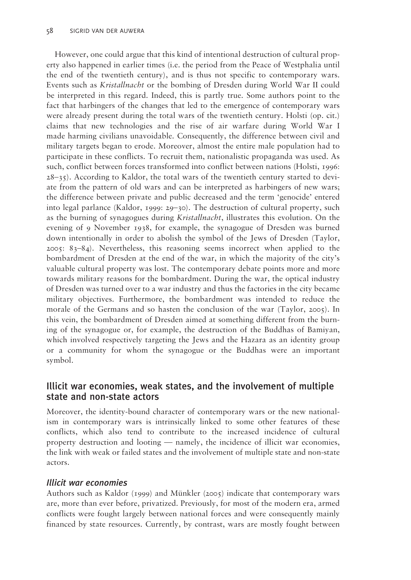However, one could argue that this kind of intentional destruction of cultural property also happened in earlier times (i.e. the period from the Peace of Westphalia until the end of the twentieth century), and is thus not specific to contemporary wars. Events such as *Kristallnacht* or the bombing of Dresden during World War II could be interpreted in this regard. Indeed, this is partly true. Some authors point to the fact that harbingers of the changes that led to the emergence of contemporary wars were already present during the total wars of the twentieth century. Holsti (op. cit.) claims that new technologies and the rise of air warfare during World War I made harming civilians unavoidable. Consequently, the difference between civil and military targets began to erode. Moreover, almost the entire male population had to participate in these conflicts. To recruit them, nationalistic propaganda was used. As such, conflict between forces transformed into conflict between nations (Holsti, 1996:  $28-35$ ). According to Kaldor, the total wars of the twentieth century started to deviate from the pattern of old wars and can be interpreted as harbingers of new wars; the difference between private and public decreased and the term 'genocide' entered into legal parlance (Kaldor, 1999: 29–30). The destruction of cultural property, such as the burning of synagogues during *Kristallnacht*, illustrates this evolution. On the evening of 9 November 1938, for example, the synagogue of Dresden was burned down intentionally in order to abolish the symbol of the Jews of Dresden (Taylor, 2005: 83–84). Nevertheless, this reasoning seems incorrect when applied to the bombardment of Dresden at the end of the war, in which the majority of the city's valuable cultural property was lost. The contemporary debate points more and more towards military reasons for the bombardment. During the war, the optical industry of Dresden was turned over to a war industry and thus the factories in the city became military objectives. Furthermore, the bombardment was intended to reduce the morale of the Germans and so hasten the conclusion of the war (Taylor, 2005). In this vein, the bombardment of Dresden aimed at something different from the burning of the synagogue or, for example, the destruction of the Buddhas of Bamiyan, which involved respectively targeting the Jews and the Hazara as an identity group or a community for whom the synagogue or the Buddhas were an important symbol.

# Illicit war economies, weak states, and the involvement of multiple state and non-state actors

Moreover, the identity-bound character of contemporary wars or the new nationalism in contemporary wars is intrinsically linked to some other features of these conflicts, which also tend to contribute to the increased incidence of cultural property destruction and looting — namely, the incidence of illicit war economies, the link with weak or failed states and the involvement of multiple state and non-state actors.

## *Illicit war economies*

Authors such as Kaldor (1999) and Münkler (2005) indicate that contemporary wars are, more than ever before, privatized. Previously, for most of the modern era, armed conflicts were fought largely between national forces and were consequently mainly financed by state resources. Currently, by contrast, wars are mostly fought between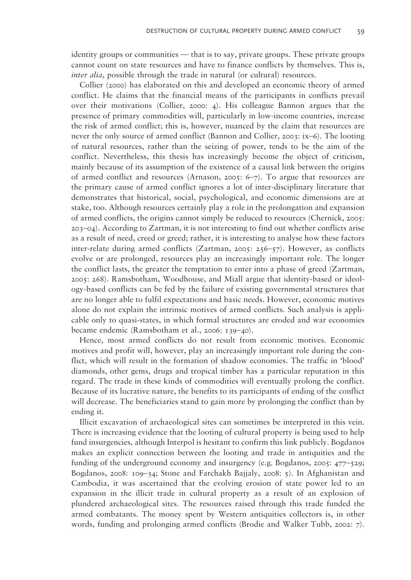identity groups or communities — that is to say, private groups. These private groups cannot count on state resources and have to finance conflicts by themselves. This is, *inter alia*, possible through the trade in natural (or cultural) resources.

Collier (2000) has elaborated on this and developed an economic theory of armed conflict. He claims that the financial means of the participants in conflicts prevail over their motivations (Collier, 2000: 4). His colleague Bannon argues that the presence of primary commodities will, particularly in low-income countries, increase the risk of armed conflict; this is, however, nuanced by the claim that resources are never the only source of armed conflict (Bannon and Collier, 2003: ix–6). The looting of natural resources, rather than the seizing of power, tends to be the aim of the conflict. Nevertheless, this thesis has increasingly become the object of criticism, mainly because of its assumption of the existence of a causal link between the origins of armed conflict and resources (Arnason, 2005: 6–7). To argue that resources are the primary cause of armed conflict ignores a lot of inter-disciplinary literature that demonstrates that historical, social, psychological, and economic dimensions are at stake, too. Although resources certainly play a role in the prolongation and expansion of armed conflicts, the origins cannot simply be reduced to resources (Chernick, 2005:  $203-04$ ). According to Zartman, it is not interesting to find out whether conflicts arise as a result of need, creed or greed; rather, it is interesting to analyse how these factors inter-relate during armed conflicts (Zartman, 2005: 256–57). However, as conflicts evolve or are prolonged, resources play an increasingly important role. The longer the conflict lasts, the greater the temptation to enter into a phase of greed (Zartman, 2005: 268). Ramsbotham, Woodhouse, and Miall argue that identity-based or ideology-based conflicts can be fed by the failure of existing governmental structures that are no longer able to fulfil expectations and basic needs. However, economic motives alone do not explain the intrinsic motives of armed conflicts. Such analysis is applicable only to quasi-states, in which formal structures are eroded and war economies became endemic (Ramsbotham et al., 2006: 139–40).

Hence, most armed conflicts do not result from economic motives. Economic motives and profit will, however, play an increasingly important role during the conflict, which will result in the formation of shadow economies. The traffic in 'blood' diamonds, other gems, drugs and tropical timber has a particular reputation in this regard. The trade in these kinds of commodities will eventually prolong the conflict. Because of its lucrative nature, the benefits to its participants of ending of the conflict will decrease. The beneficiaries stand to gain more by prolonging the conflict than by ending it.

Illicit excavation of archaeological sites can sometimes be interpreted in this vein. There is increasing evidence that the looting of cultural property is being used to help fund insurgencies, although Interpol is hesitant to confirm this link publicly. Bogdanos makes an explicit connection between the looting and trade in antiquities and the funding of the underground economy and insurgency (e.g. Bogdanos, 2005: 477–529; Bogdanos, 2008: 109–34; Stone and Farchakh Bajjaly, 2008: 5). In Afghanistan and Cambodia, it was ascertained that the evolving erosion of state power led to an expansion in the illicit trade in cultural property as a result of an explosion of plundered archaeological sites. The resources raised through this trade funded the armed combatants. The money spent by Western antiquities collectors is, in other words, funding and prolonging armed conflicts (Brodie and Walker Tubb, 2002: 7).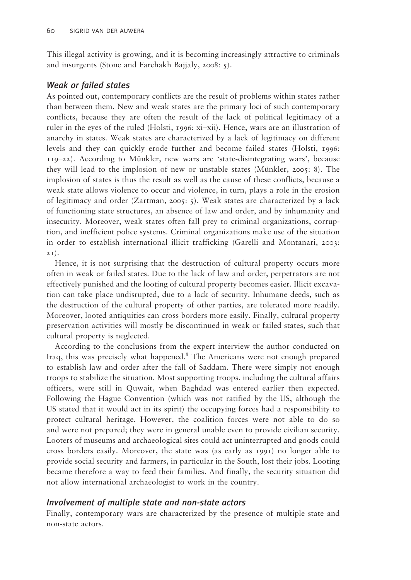This illegal activity is growing, and it is becoming increasingly attractive to criminals and insurgents (Stone and Farchakh Bajjaly, 2008: 5).

# *Weak or failed states*

As pointed out, contemporary conflicts are the result of problems within states rather than between them. New and weak states are the primary loci of such contemporary conflicts, because they are often the result of the lack of political legitimacy of a ruler in the eyes of the ruled (Holsti, 1996: xi–xii). Hence, wars are an illustration of anarchy in states. Weak states are characterized by a lack of legitimacy on different levels and they can quickly erode further and become failed states (Holsti, 1996: 119–22). According to Münkler, new wars are 'state-disintegrating wars', because they will lead to the implosion of new or unstable states (Münkler, 2005: 8). The implosion of states is thus the result as well as the cause of these conflicts, because a weak state allows violence to occur and violence, in turn, plays a role in the erosion of legitimacy and order (Zartman, 2005: 5). Weak states are characterized by a lack of functioning state structures, an absence of law and order, and by inhumanity and insecurity. Moreover, weak states often fall prey to criminal organizations, corruption, and inefficient police systems. Criminal organizations make use of the situation in order to establish international illicit trafficking (Garelli and Montanari, 2003:  $2T$ ).

Hence, it is not surprising that the destruction of cultural property occurs more often in weak or failed states. Due to the lack of law and order, perpetrators are not effectively punished and the looting of cultural property becomes easier. Illicit excavation can take place undisrupted, due to a lack of security. Inhumane deeds, such as the destruction of the cultural property of other parties, are tolerated more readily. Moreover, looted antiquities can cross borders more easily. Finally, cultural property preservation activities will mostly be discontinued in weak or failed states, such that cultural property is neglected.

According to the conclusions from the expert interview the author conducted on Iraq, this was precisely what happened.<sup>8</sup> The Americans were not enough prepared to establish law and order after the fall of Saddam. There were simply not enough troops to stabilize the situation. Most supporting troops, including the cultural affairs officers, were still in Quwait, when Baghdad was entered earlier then expected. Following the Hague Convention (which was not ratified by the US, although the US stated that it would act in its spirit) the occupying forces had a responsibility to protect cultural heritage. However, the coalition forces were not able to do so and were not prepared; they were in general unable even to provide civilian security. Looters of museums and archaeological sites could act uninterrupted and goods could cross borders easily. Moreover, the state was (as early as 1991) no longer able to provide social security and farmers, in particular in the South, lost their jobs. Looting became therefore a way to feed their families. And finally, the security situation did not allow international archaeologist to work in the country.

# *Involvement of multiple state and non-state actors*

Finally, contemporary wars are characterized by the presence of multiple state and non-state actors.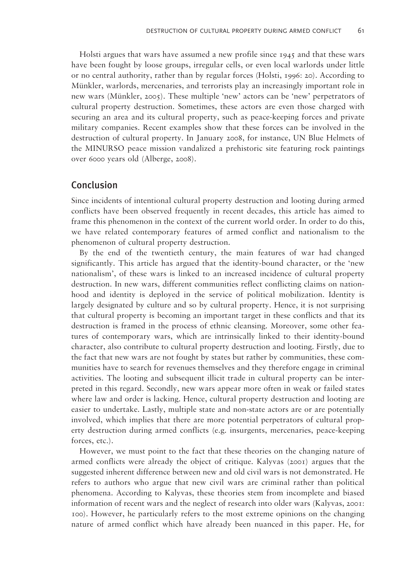Holsti argues that wars have assumed a new profile since 1945 and that these wars have been fought by loose groups, irregular cells, or even local warlords under little or no central authority, rather than by regular forces (Holsti, 1996: 20). According to Münkler, warlords, mercenaries, and terrorists play an increasingly important role in new wars (Münkler, 2005). These multiple 'new' actors can be 'new' perpetrators of cultural property destruction. Sometimes, these actors are even those charged with securing an area and its cultural property, such as peace-keeping forces and private military companies. Recent examples show that these forces can be involved in the destruction of cultural property. In January 2008, for instance, UN Blue Helmets of the MINURSO peace mission vandalized a prehistoric site featuring rock paintings over 6000 years old (Alberge, 2008).

## Conclusion

Since incidents of intentional cultural property destruction and looting during armed conflicts have been observed frequently in recent decades, this article has aimed to frame this phenomenon in the context of the current world order. In order to do this, we have related contemporary features of armed conflict and nationalism to the phenomenon of cultural property destruction.

By the end of the twentieth century, the main features of war had changed significantly. This article has argued that the identity-bound character, or the 'new nationalism', of these wars is linked to an increased incidence of cultural property destruction. In new wars, different communities reflect conflicting claims on nationhood and identity is deployed in the service of political mobilization. Identity is largely designated by culture and so by cultural property. Hence, it is not surprising that cultural property is becoming an important target in these conflicts and that its destruction is framed in the process of ethnic cleansing. Moreover, some other features of contemporary wars, which are intrinsically linked to their identity-bound character, also contribute to cultural property destruction and looting. Firstly, due to the fact that new wars are not fought by states but rather by communities, these communities have to search for revenues themselves and they therefore engage in criminal activities. The looting and subsequent illicit trade in cultural property can be interpreted in this regard. Secondly, new wars appear more often in weak or failed states where law and order is lacking. Hence, cultural property destruction and looting are easier to undertake. Lastly, multiple state and non-state actors are or are potentially involved, which implies that there are more potential perpetrators of cultural property destruction during armed conflicts (e.g. insurgents, mercenaries, peace-keeping forces, etc.).

However, we must point to the fact that these theories on the changing nature of armed conflicts were already the object of critique. Kalyvas (2001) argues that the suggested inherent difference between new and old civil wars is not demonstrated. He refers to authors who argue that new civil wars are criminal rather than political phenomena. According to Kalyvas, these theories stem from incomplete and biased information of recent wars and the neglect of research into older wars (Kalyvas, 2001: 100). However, he particularly refers to the most extreme opinions on the changing nature of armed conflict which have already been nuanced in this paper. He, for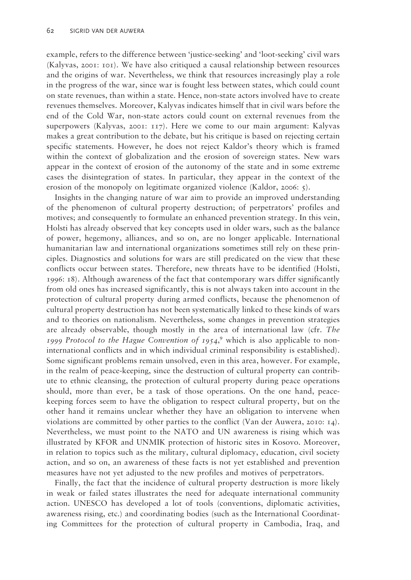example, refers to the difference between 'justice-seeking' and 'loot-seeking' civil wars (Kalyvas, 2001: 101). We have also critiqued a causal relationship between resources and the origins of war. Nevertheless, we think that resources increasingly play a role in the progress of the war, since war is fought less between states, which could count on state revenues, than within a state. Hence, non-state actors involved have to create revenues themselves. Moreover, Kalyvas indicates himself that in civil wars before the end of the Cold War, non-state actors could count on external revenues from the superpowers (Kalyvas, 2001: 117). Here we come to our main argument: Kalyvas makes a great contribution to the debate, but his critique is based on rejecting certain specific statements. However, he does not reject Kaldor's theory which is framed within the context of globalization and the erosion of sovereign states. New wars appear in the context of erosion of the autonomy of the state and in some extreme cases the disintegration of states. In particular, they appear in the context of the erosion of the monopoly on legitimate organized violence (Kaldor, 2006: 5).

Insights in the changing nature of war aim to provide an improved understanding of the phenomenon of cultural property destruction; of perpetrators' profiles and motives; and consequently to formulate an enhanced prevention strategy. In this vein, Holsti has already observed that key concepts used in older wars, such as the balance of power, hegemony, alliances, and so on, are no longer applicable. International humanitarian law and international organizations sometimes still rely on these principles. Diagnostics and solutions for wars are still predicated on the view that these conflicts occur between states. Therefore, new threats have to be identified (Holsti, 1996: 18). Although awareness of the fact that contemporary wars differ significantly from old ones has increased significantly, this is not always taken into account in the protection of cultural property during armed conflicts, because the phenomenon of cultural property destruction has not been systematically linked to these kinds of wars and to theories on nationalism. Nevertheless, some changes in prevention strategies are already observable, though mostly in the area of international law (cfr. *The*  1999 Protocol to the Hague Convention of 1954,<sup>9</sup> which is also applicable to noninternational conflicts and in which individual criminal responsibility is established). Some significant problems remain unsolved, even in this area, however. For example, in the realm of peace-keeping, since the destruction of cultural property can contribute to ethnic cleansing, the protection of cultural property during peace operations should, more than ever, be a task of those operations. On the one hand, peacekeeping forces seem to have the obligation to respect cultural property, but on the other hand it remains unclear whether they have an obligation to intervene when violations are committed by other parties to the conflict (Van der Auwera, 2010: 14). Nevertheless, we must point to the NATO and UN awareness is rising which was illustrated by KFOR and UNMIK protection of historic sites in Kosovo. Moreover, in relation to topics such as the military, cultural diplomacy, education, civil society action, and so on, an awareness of these facts is not yet established and prevention measures have not yet adjusted to the new profiles and motives of perpetrators.

Finally, the fact that the incidence of cultural property destruction is more likely in weak or failed states illustrates the need for adequate international community action. UNESCO has developed a lot of tools (conventions, diplomatic activities, awareness rising, etc.) and coordinating bodies (such as the International Coordinating Committees for the protection of cultural property in Cambodia, Iraq, and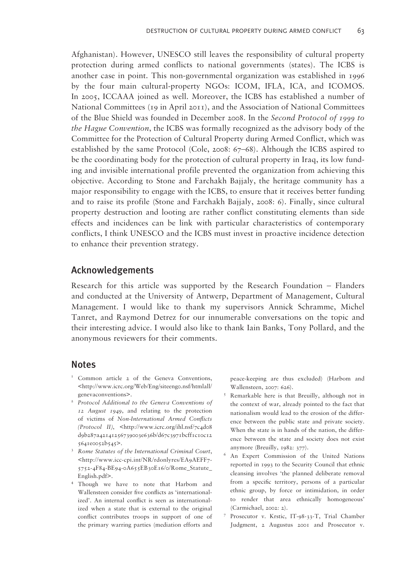Afghanistan). However, UNESCO still leaves the responsibility of cultural property protection during armed conflicts to national governments (states). The ICBS is another case in point. This non-governmental organization was established in 1996 by the four main cultural-property NGOs: ICOM, IFLA, ICA, and ICOMOS. In 2005, ICCAAA joined as well. Moreover, the ICBS has established a number of National Committees (19 in April 2011), and the Association of National Committees of the Blue Shield was founded in December 2008. In the *Second Protocol of 1999 to the Hague Convention*, the ICBS was formally recognized as the advisory body of the Committee for the Protection of Cultural Property during Armed Conflict, which was established by the same Protocol (Cole, 2008: 67–68). Although the ICBS aspired to be the coordinating body for the protection of cultural property in Iraq, its low funding and invisible international profile prevented the organization from achieving this objective. According to Stone and Farchakh Bajjaly, the heritage community has a major responsibility to engage with the ICBS, to ensure that it receives better funding and to raise its profile (Stone and Farchakh Bajjaly, 2008: 6). Finally, since cultural property destruction and looting are rather conflict constituting elements than side effects and incidences can be link with particular characteristics of contemporary conflicts, I think UNESCO and the ICBS must invest in proactive incidence detection to enhance their prevention strategy.

## Acknowledgements

Research for this article was supported by the Research Foundation – Flanders and conducted at the University of Antwerp, Department of Management, Cultural Management. I would like to thank my supervisors Annick Schramme, Michel Tanret, and Raymond Detrez for our innumerable conversations on the topic and their interesting advice. I would also like to thank Iain Banks, Tony Pollard, and the anonymous reviewers for their comments.

#### Notes

- <sup>1</sup> Common article 2 of the Geneva Conventions, <http://www.icrc.org/Web/Eng/siteeng0.nsf/htmlall/ genevaconventions>. 2 *Protocol Additional to the Geneva Conventions of*
- *12 August 1949*, and relating to the protection of victims of *Non-International Armed Conflicts (Protocol II)*, <http://www.icrc.org/ihl.nsf/7c4d08 d9b287a42141256739003e636b/d67c3971bcff1c10c12 5641e0052b545>. 3 *Rome Statutes of the International Criminal Court*,
- <http://www.icc-cpi.int/NR/rdonlyres/EA9AEFF7- 5752-4F84-BE94-0A655EB30E16/0/Rome\_Statute\_ English.pdf>.
- 4 Though we have to note that Harbom and Wallensteen consider five conflicts as 'internationalized'. An internal conflict is seen as internationalized when a state that is external to the original conflict contributes troops in support of one of the primary warring parties (mediation efforts and

peace-keeping are thus excluded) (Harbom and Wallensteen, 2007: 626).

- 5 Remarkable here is that Breuilly, although not in the context of war, already pointed to the fact that nationalism would lead to the erosion of the difference between the public state and private society. When the state is in hands of the nation, the difference between the state and society does not exist anymore (Breuilly, 1982: 377).
- 6 An Expert Commission of the United Nations reported in 1993 to the Security Council that ethnic cleansing involves 'the planned deliberate removal from a specific territory, persons of a particular ethnic group, by force or intimidation, in order to render that area ethnically homogeneous' (Carmichael, 2002: 2).
- 7 Prosecutor v. Krstic, IT-98-33-T, Trial Chamber Judgment, 2 Augustus 2001 and Prosecutor v.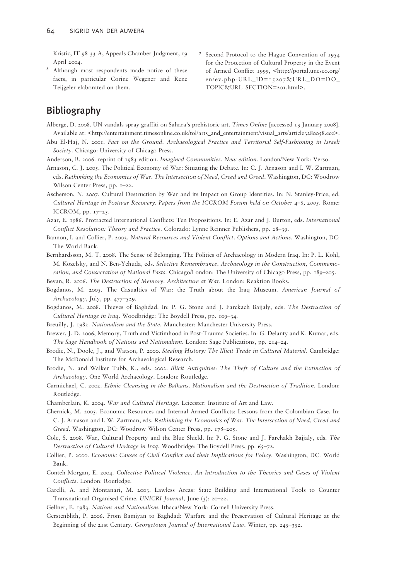Kristic, IT-98-33-A, Appeals Chamber Judgment, 19 April 2004.

- Although most respondents made notice of these facts, in particular Corine Wegener and Rene Teijgeler elaborated on them.
- 9 Second Protocol to the Hague Convention of 1954 for the Protection of Cultural Property in the Event of Armed Conflict 1999, <http://portal.unesco.org/ en/ev.php-URL\_ID= $_{15207}$ &URL\_DO=DO TOPIC&URL\_SECTION=201.html>.

# Bibliography

- Alberge, D. 2008. UN vandals spray graffiti on Sahara's prehistoric art. *Times Online* [accessed 13 January 2008]. Available at: <http://entertainment.timesonline.co.uk/tol/arts\_and\_entertainment/visual\_arts/article3280058.ece>.
- Abu El-Haj, N. 2001. *Fact on the Ground. Archaeological Practice and Territorial Self-Fashioning in Israeli Society*. Chicago: University of Chicago Press.
- Anderson, B. 2006. reprint of 1983 edition. *Imagined Communities. New edition.* London/New York: Verso.
- Arnason, C. J. 2005. The Political Economy of War: Situating the Debate. In: C. J. Arnason and I. W. Zartman, eds. *Rethinking the Economics of War. The Intersection of Need, Creed and Greed*. Washington, DC: Woodrow Wilson Center Press, pp. 1–22.
- Ascherson, N. 2007. Cultural Destruction by War and its Impact on Group Identities. In: N. Stanley-Price, ed. *Cultural Heritage in Postwar Recovery. Papers from the ICCROM Forum held on October 4*–*6, 2005*. Rome: ICCROM, pp. 17–25.
- Azar, E. 1986. Protracted International Conflicts: Ten Propositions. In: E. Azar and J. Burton, eds. *International Conflict Resolution: Theory and Practice.* Colorado: Lynne Reinner Publishers, pp. 28–39.
- Bannon, I. and Collier, P. 2003. *Natural Resources and Violent Conflict. Options and Actions.* Washington, DC: The World Bank.
- Bernhardsson, M. T. 2008. The Sense of Belonging. The Politics of Archaeology in Modern Iraq. In: P. L. Kohl, M. Kozelsky, and N. Ben-Yehuda, eds. *Selective Remembrance. Archaeology in the Construction, Commemoration, and Consecration of National Pasts*. Chicago/London: The University of Chicago Press, pp. 189–205.
- Bevan, R. 2006. *The Destruction of Memory. Architecture at War*. London: Reaktion Books.
- Bogdanos, M. 2005. The Casualties of War: the Truth about the Iraq Museum. *American Journal of Archaeology*, July, pp. 477–529.
- Bogdanos, M. 2008. Thieves of Baghdad. In: P. G. Stone and J. Farckach Bajjaly, eds. *The Destruction of Cultural Heritage in Iraq*. Woodbridge: The Boydell Press, pp. 109–34.
- Breuilly, J. 1982. *Nationalism and the State*. Manchester: Manchester University Press.
- Brewer, J. D. 2006, Memory, Truth and Victimhood in Post-Trauma Societies. In: G. Delanty and K. Kumar, eds. *The Sage Handbook of Nations and Nationalism*. London: Sage Publications, pp. 214–24.
- Brodie, N., Doole, J., and Watson, P. 2000. *Stealing History: The Illicit Trade in Cultural Material*. Cambridge: The McDonald Institute for Archaeological Research.
- Brodie, N. and Walker Tubb, K., eds. 2002. *Illicit Antiquities: The Theft of Culture and the Extinction of Archaeology.* One World Archaeology. London: Routledge.
- Carmichael, C. 2002. *Ethnic Cleansing in the Balkans. Nationalism and the Destruction of Tradition*. London: Routledge.
- Chamberlain, K. 2004. *War and Cultural Heritage*. Leicester: Institute of Art and Law.
- Chernick, M. 2005. Economic Resources and Internal Armed Conflicts: Lessons from the Colombian Case. In: C. J. Arnason and I. W. Zartman, eds. *Rethinking the Economics of War. The Intersection of Need, Creed and Greed*. Washington, DC: Woodrow Wilson Center Press, pp. 178–205.
- Cole, S. 2008. War, Cultural Property and the Blue Shield. In: P. G. Stone and J. Farchakh Bajjaly, eds. *The Destruction of Cultural Heritage in Iraq*. Woodbridge: The Boydell Press, pp. 65–72.
- Collier, P. 2000. *Economic Causes of Civil Conflict and their Implications for Policy*. Washington, DC: World Bank.
- Conteh-Morgan, E. 2004. *Collective Political Violence. An Introduction to the Theories and Cases of Violent Conflicts*. London: Routledge.
- Garelli, A. and Montanari, M. 2003. Lawless Areas: State Building and International Tools to Counter Transnational Organised Crime. *UNICRI Journal*, June (3): 20–22.
- Gellner, E. 1983. *Nations and Nationalism.* Ithaca/New York: Cornell University Press.
- Gerstenblith, P. 2006. From Bamiyan to Baghdad: Warfare and the Preservation of Cultural Heritage at the Beginning of the 21st Century. *Georgetown Journal of International Law*. Winter, pp. 245–352.